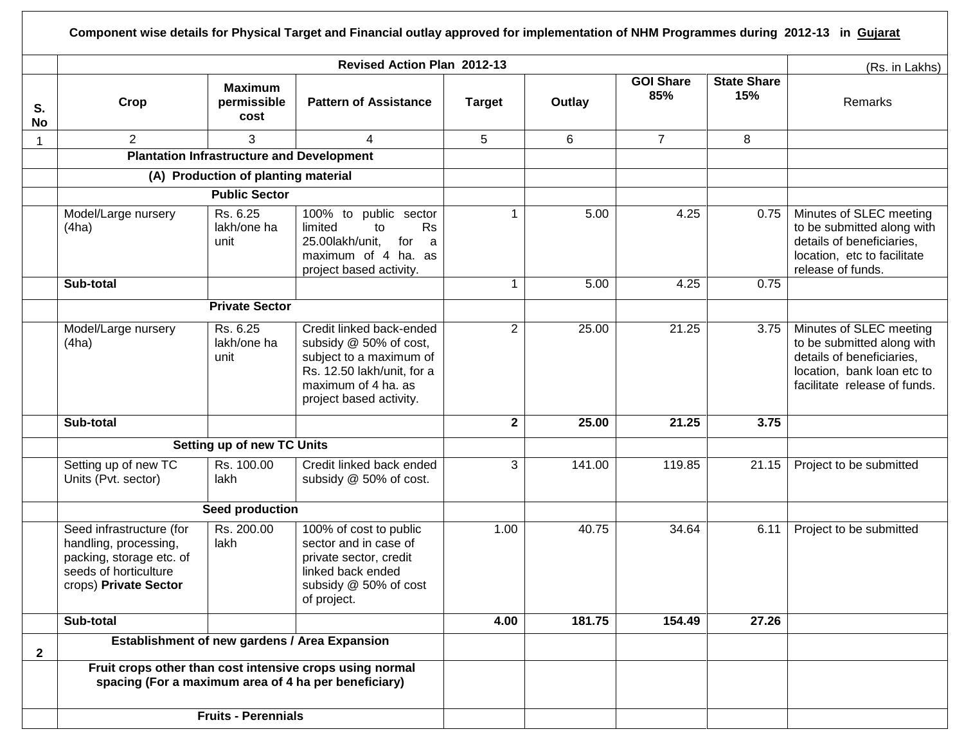| S.<br><b>No</b> | Crop                                                                                                                            |                                                  | <b>Revised Action Plan 2012-13</b>                                                                                                                            |                |        |                         |                           | (Rs. in Lakhs)                                                                                                                                   |
|-----------------|---------------------------------------------------------------------------------------------------------------------------------|--------------------------------------------------|---------------------------------------------------------------------------------------------------------------------------------------------------------------|----------------|--------|-------------------------|---------------------------|--------------------------------------------------------------------------------------------------------------------------------------------------|
|                 |                                                                                                                                 | <b>Maximum</b><br>permissible<br>cost            | <b>Pattern of Assistance</b>                                                                                                                                  | <b>Target</b>  | Outlay | <b>GOI Share</b><br>85% | <b>State Share</b><br>15% | Remarks                                                                                                                                          |
|                 | $\overline{2}$                                                                                                                  | 3                                                | 4                                                                                                                                                             | 5              | 6      | $\overline{7}$          | 8                         |                                                                                                                                                  |
|                 |                                                                                                                                 | <b>Plantation Infrastructure and Development</b> |                                                                                                                                                               |                |        |                         |                           |                                                                                                                                                  |
|                 |                                                                                                                                 | (A) Production of planting material              |                                                                                                                                                               |                |        |                         |                           |                                                                                                                                                  |
|                 |                                                                                                                                 | <b>Public Sector</b>                             |                                                                                                                                                               |                |        |                         |                           |                                                                                                                                                  |
|                 | Model/Large nursery<br>(4ha)                                                                                                    | Rs. 6.25<br>lakh/one ha<br>unit                  | 100% to public sector<br><b>Rs</b><br>limited<br>to<br>25.00lakh/unit,<br>for<br>a<br>maximum of 4 ha. as<br>project based activity.                          | $\mathbf{1}$   | 5.00   | 4.25                    | 0.75                      | Minutes of SLEC meeting<br>to be submitted along with<br>details of beneficiaries,<br>location, etc to facilitate<br>release of funds.           |
|                 | Sub-total                                                                                                                       |                                                  |                                                                                                                                                               | -1             | 5.00   | 4.25                    | 0.75                      |                                                                                                                                                  |
|                 |                                                                                                                                 |                                                  |                                                                                                                                                               |                |        |                         |                           |                                                                                                                                                  |
|                 | Model/Large nursery<br>(4ha)                                                                                                    | Rs. 6.25<br>lakh/one ha<br>unit                  | Credit linked back-ended<br>subsidy @ 50% of cost,<br>subject to a maximum of<br>Rs. 12.50 lakh/unit, for a<br>maximum of 4 ha. as<br>project based activity. | $\overline{2}$ | 25.00  | 21.25                   | 3.75                      | Minutes of SLEC meeting<br>to be submitted along with<br>details of beneficiaries,<br>location, bank loan etc to<br>facilitate release of funds. |
|                 | Sub-total                                                                                                                       |                                                  |                                                                                                                                                               | $\mathbf{2}$   | 25.00  | 21.25                   | 3.75                      |                                                                                                                                                  |
|                 |                                                                                                                                 | <b>Setting up of new TC Units</b>                |                                                                                                                                                               |                |        |                         |                           |                                                                                                                                                  |
|                 | Setting up of new TC<br>Units (Pvt. sector)                                                                                     | Rs. 100.00<br>lakh                               | Credit linked back ended<br>subsidy @ 50% of cost.                                                                                                            | 3              | 141.00 | 119.85                  | 21.15                     | Project to be submitted                                                                                                                          |
|                 |                                                                                                                                 | Seed production                                  |                                                                                                                                                               |                |        |                         |                           |                                                                                                                                                  |
|                 | Seed infrastructure (for<br>handling, processing,<br>packing, storage etc. of<br>seeds of horticulture<br>crops) Private Sector | Rs. 200.00<br>lakh                               | 100% of cost to public<br>sector and in case of<br>private sector, credit<br>linked back ended<br>subsidy @ 50% of cost<br>of project.                        | 1.00           | 40.75  | 34.64                   | 6.11                      | Project to be submitted                                                                                                                          |
|                 | Sub-total                                                                                                                       |                                                  |                                                                                                                                                               | 4.00           | 181.75 | 154.49                  | 27.26                     |                                                                                                                                                  |
|                 |                                                                                                                                 |                                                  | Establishment of new gardens / Area Expansion                                                                                                                 |                |        |                         |                           |                                                                                                                                                  |
| $\mathbf{2}$    | Fruit crops other than cost intensive crops using normal<br>spacing (For a maximum area of 4 ha per beneficiary)                |                                                  |                                                                                                                                                               |                |        |                         |                           |                                                                                                                                                  |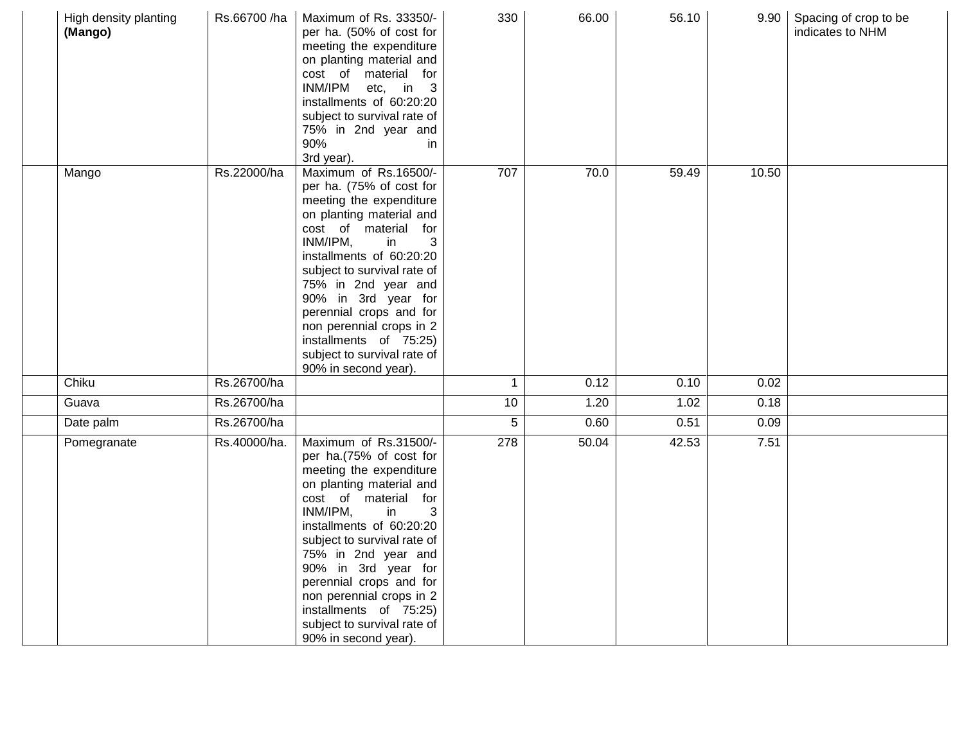| High density planting<br>(Mango) | Rs.66700 /ha | Maximum of Rs. 33350/-<br>per ha. (50% of cost for<br>meeting the expenditure<br>on planting material and<br>cost of material for<br>INM/IPM<br>etc, in 3<br>installments of 60:20:20<br>subject to survival rate of<br>75% in 2nd year and<br>90%<br>in<br>3rd year).                                                                                                                                   | 330          | 66.00 | 56.10 |       | 9.90 Spacing of crop to be<br>indicates to NHM |
|----------------------------------|--------------|----------------------------------------------------------------------------------------------------------------------------------------------------------------------------------------------------------------------------------------------------------------------------------------------------------------------------------------------------------------------------------------------------------|--------------|-------|-------|-------|------------------------------------------------|
| Mango                            | Rs.22000/ha  | Maximum of Rs.16500/-<br>per ha. (75% of cost for<br>meeting the expenditure<br>on planting material and<br>cost of material for<br>INM/IPM,<br>3<br>in<br>installments of 60:20:20<br>subject to survival rate of<br>75% in 2nd year and<br>90% in 3rd year for<br>perennial crops and for<br>non perennial crops in 2<br>installments of 75:25)<br>subject to survival rate of<br>90% in second year). | 707          | 70.0  | 59.49 | 10.50 |                                                |
| Chiku                            | Rs.26700/ha  |                                                                                                                                                                                                                                                                                                                                                                                                          | $\mathbf{1}$ | 0.12  | 0.10  | 0.02  |                                                |
| Guava                            | Rs.26700/ha  |                                                                                                                                                                                                                                                                                                                                                                                                          | 10           | 1.20  | 1.02  | 0.18  |                                                |
| Date palm                        | Rs.26700/ha  |                                                                                                                                                                                                                                                                                                                                                                                                          | 5            | 0.60  | 0.51  | 0.09  |                                                |
| Pomegranate                      | Rs.40000/ha. | Maximum of Rs.31500/-<br>per ha.(75% of cost for<br>meeting the expenditure<br>on planting material and<br>cost of material for<br>INM/IPM,<br>in<br>3<br>installments of 60:20:20<br>subject to survival rate of<br>75% in 2nd year and<br>90% in 3rd year for<br>perennial crops and for<br>non perennial crops in 2<br>installments of 75:25)<br>subject to survival rate of<br>90% in second year).  | 278          | 50.04 | 42.53 | 7.51  |                                                |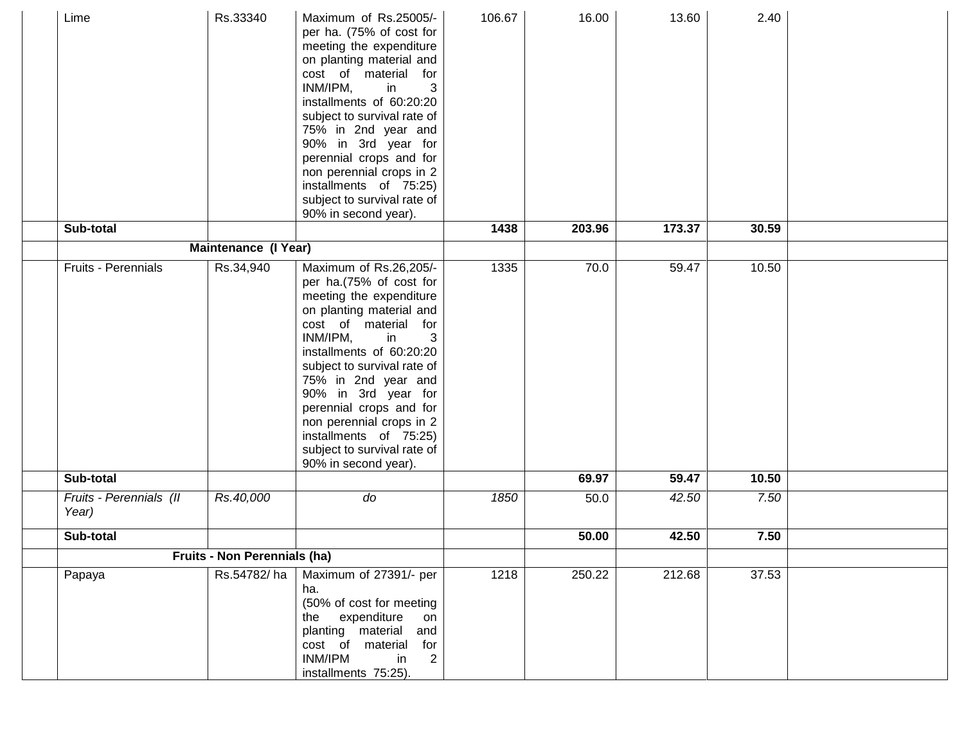| Lime                             | Rs.33340             | Maximum of Rs.25005/-<br>per ha. (75% of cost for<br>meeting the expenditure<br>on planting material and<br>cost of material for<br>INM/IPM,<br>3<br>in<br>installments of 60:20:20<br>subject to survival rate of<br>75% in 2nd year and<br>90% in 3rd year for<br>perennial crops and for<br>non perennial crops in 2<br>installments of 75:25)<br>subject to survival rate of<br>90% in second year). | 106.67             | 16.00  | 13.60  | 2.40  |  |
|----------------------------------|----------------------|----------------------------------------------------------------------------------------------------------------------------------------------------------------------------------------------------------------------------------------------------------------------------------------------------------------------------------------------------------------------------------------------------------|--------------------|--------|--------|-------|--|
| Sub-total                        |                      |                                                                                                                                                                                                                                                                                                                                                                                                          | 1438               | 203.96 | 173.37 | 30.59 |  |
|                                  | Maintenance (I Year) |                                                                                                                                                                                                                                                                                                                                                                                                          |                    |        |        |       |  |
| Fruits - Perennials              | Rs.34,940            | Maximum of Rs.26,205/-<br>per ha.(75% of cost for<br>meeting the expenditure<br>on planting material and<br>cost of material for<br>INM/IPM,<br>in<br>3<br>installments of 60:20:20<br>subject to survival rate of<br>75% in 2nd year and<br>90% in 3rd year for<br>perennial crops and for<br>non perennial crops in 2<br>installments of 75:25)<br>subject to survival rate of<br>90% in second year). | 1335               | 70.0   | 59.47  | 10.50 |  |
| Sub-total                        |                      |                                                                                                                                                                                                                                                                                                                                                                                                          |                    | 69.97  | 59.47  | 10.50 |  |
| Fruits - Perennials (II<br>Year) | Rs.40,000            | do                                                                                                                                                                                                                                                                                                                                                                                                       | 1850               | 50.0   | 42.50  | 7.50  |  |
| Sub-total                        |                      |                                                                                                                                                                                                                                                                                                                                                                                                          |                    | 50.00  | 42.50  | 7.50  |  |
| Fruits - Non Perennials (ha)     |                      |                                                                                                                                                                                                                                                                                                                                                                                                          |                    |        |        |       |  |
| Papaya                           | Rs.54782/ha          | Maximum of 27391/- per<br>ha.<br>(50% of cost for meeting<br>expenditure<br>the<br>on<br>planting material<br>and<br>cost of<br>material<br>for<br>INM/IPM<br>in<br>$\overline{2}$<br>installments 75:25).                                                                                                                                                                                               | $\overline{1}$ 218 | 250.22 | 212.68 | 37.53 |  |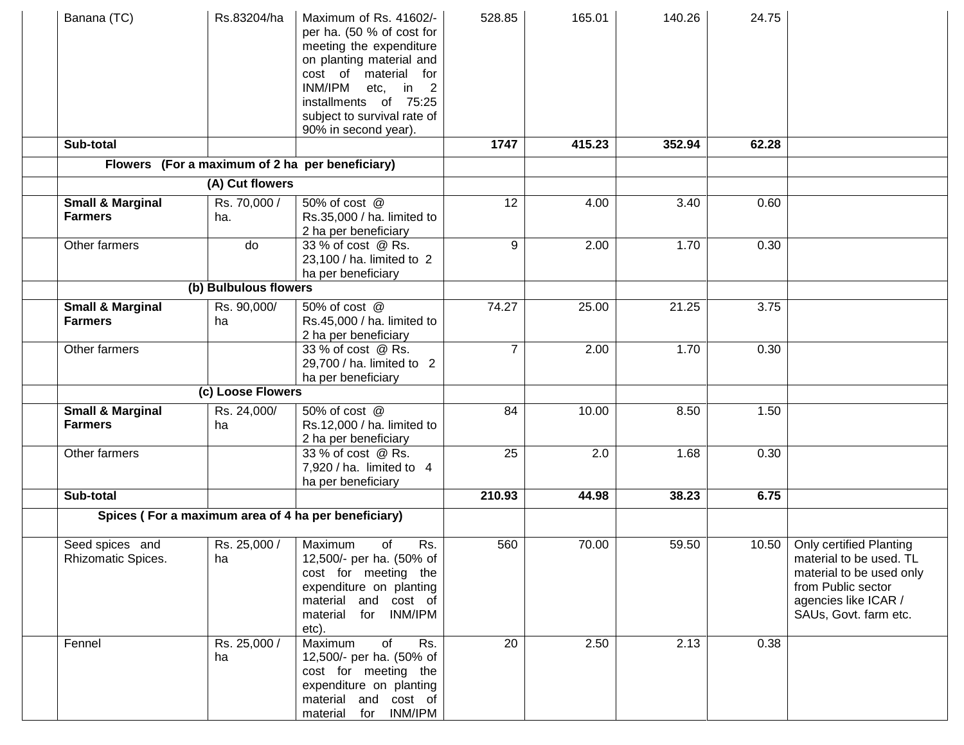| Banana (TC)                                   | Rs.83204/ha           | Maximum of Rs. 41602/-<br>per ha. (50 % of cost for<br>meeting the expenditure<br>on planting material and<br>cost of material for<br>INM/IPM<br>etc, in 2<br>installments of 75:25<br>subject to survival rate of<br>90% in second year). | 528.85         | 165.01 | 140.26 | 24.75 |                                                                                                                                                              |
|-----------------------------------------------|-----------------------|--------------------------------------------------------------------------------------------------------------------------------------------------------------------------------------------------------------------------------------------|----------------|--------|--------|-------|--------------------------------------------------------------------------------------------------------------------------------------------------------------|
| Sub-total                                     |                       |                                                                                                                                                                                                                                            | 1747           | 415.23 | 352.94 | 62.28 |                                                                                                                                                              |
|                                               |                       | Flowers (For a maximum of 2 ha per beneficiary)                                                                                                                                                                                            |                |        |        |       |                                                                                                                                                              |
| (A) Cut flowers                               |                       |                                                                                                                                                                                                                                            |                |        |        |       |                                                                                                                                                              |
| <b>Small &amp; Marginal</b><br><b>Farmers</b> | Rs. 70,000 /<br>ha.   | 50% of cost @<br>Rs.35,000 / ha. limited to<br>2 ha per beneficiary                                                                                                                                                                        | 12             | 4.00   | 3.40   | 0.60  |                                                                                                                                                              |
| Other farmers                                 | do                    | 33 % of cost @ Rs.<br>23,100 / ha. limited to 2<br>ha per beneficiary                                                                                                                                                                      | 9              | 2.00   | 1.70   | 0.30  |                                                                                                                                                              |
|                                               | (b) Bulbulous flowers |                                                                                                                                                                                                                                            |                |        |        |       |                                                                                                                                                              |
| <b>Small &amp; Marginal</b><br><b>Farmers</b> | Rs. 90,000/<br>ha     | 50% of cost @<br>Rs.45,000 / ha. limited to<br>2 ha per beneficiary                                                                                                                                                                        | 74.27          | 25.00  | 21.25  | 3.75  |                                                                                                                                                              |
| Other farmers                                 |                       | 33 % of cost @ Rs.<br>29,700 / ha. limited to 2<br>ha per beneficiary                                                                                                                                                                      | $\overline{7}$ | 2.00   | 1.70   | 0.30  |                                                                                                                                                              |
|                                               | (c) Loose Flowers     |                                                                                                                                                                                                                                            |                |        |        |       |                                                                                                                                                              |
| <b>Small &amp; Marginal</b><br><b>Farmers</b> | Rs. 24,000/<br>ha     | 50% of cost @<br>Rs.12,000 / ha. limited to<br>2 ha per beneficiary                                                                                                                                                                        | 84             | 10.00  | 8.50   | 1.50  |                                                                                                                                                              |
| Other farmers                                 |                       | 33 % of cost @ Rs.<br>$7,920$ / ha. limited to 4<br>ha per beneficiary                                                                                                                                                                     | 25             | 2.0    | 1.68   | 0.30  |                                                                                                                                                              |
| Sub-total                                     |                       |                                                                                                                                                                                                                                            | 210.93         | 44.98  | 38.23  | 6.75  |                                                                                                                                                              |
|                                               |                       | Spices (For a maximum area of 4 ha per beneficiary)                                                                                                                                                                                        |                |        |        |       |                                                                                                                                                              |
| Seed spices and<br>Rhizomatic Spices.         | Rs. 25,000 /<br>ha    | Rs.<br>Maximum<br>of<br>12,500/- per ha. (50% of<br>cost for meeting the<br>expenditure on planting<br>material and cost of<br>material for INM/IPM<br>etc).                                                                               | 560            | 70.00  | 59.50  | 10.50 | <b>Only certified Planting</b><br>material to be used. TL<br>material to be used only<br>from Public sector<br>agencies like ICAR /<br>SAUs, Govt. farm etc. |
| Fennel                                        | Rs. 25,000 /<br>ha    | Maximum<br>of<br>Rs.<br>12,500/- per ha. (50% of<br>cost for meeting the<br>expenditure on planting<br>material and cost of<br>material for INM/IPM                                                                                        | 20             | 2.50   | 2.13   | 0.38  |                                                                                                                                                              |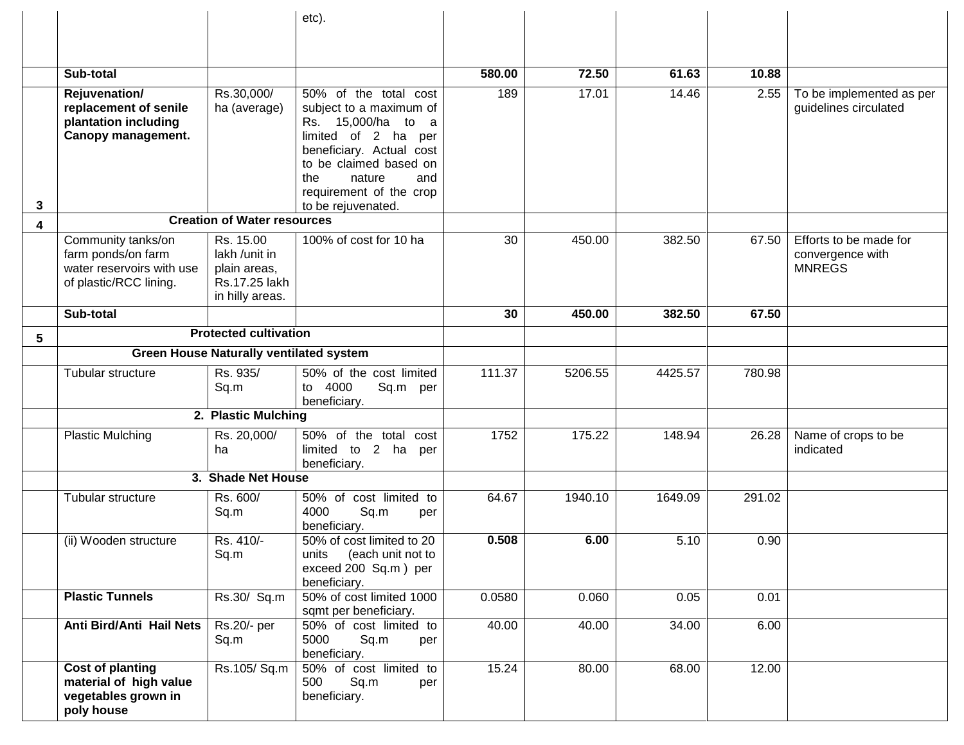|                 |                                                                                                 |                                                                                | etc).                                                                                                                                                                                                                        |        |         |         |        |                                                             |
|-----------------|-------------------------------------------------------------------------------------------------|--------------------------------------------------------------------------------|------------------------------------------------------------------------------------------------------------------------------------------------------------------------------------------------------------------------------|--------|---------|---------|--------|-------------------------------------------------------------|
|                 |                                                                                                 |                                                                                |                                                                                                                                                                                                                              |        |         |         |        |                                                             |
|                 |                                                                                                 |                                                                                |                                                                                                                                                                                                                              |        |         |         |        |                                                             |
|                 | Sub-total                                                                                       |                                                                                |                                                                                                                                                                                                                              | 580.00 | 72.50   | 61.63   | 10.88  |                                                             |
| 3               | Rejuvenation/<br>replacement of senile<br>plantation including<br>Canopy management.            | Rs.30,000/<br>ha (average)                                                     | 50% of the total cost<br>subject to a maximum of<br>Rs. 15,000/ha to a<br>limited of 2 ha per<br>beneficiary. Actual cost<br>to be claimed based on<br>nature<br>the<br>and<br>requirement of the crop<br>to be rejuvenated. | 189    | 17.01   | 14.46   | 2.55   | To be implemented as per<br>guidelines circulated           |
| 4               |                                                                                                 | <b>Creation of Water resources</b>                                             |                                                                                                                                                                                                                              |        |         |         |        |                                                             |
|                 | Community tanks/on<br>farm ponds/on farm<br>water reservoirs with use<br>of plastic/RCC lining. | Rs. 15.00<br>lakh /unit in<br>plain areas,<br>Rs.17.25 lakh<br>in hilly areas. | 100% of cost for 10 ha                                                                                                                                                                                                       | 30     | 450.00  | 382.50  | 67.50  | Efforts to be made for<br>convergence with<br><b>MNREGS</b> |
|                 | Sub-total                                                                                       |                                                                                |                                                                                                                                                                                                                              | 30     | 450.00  | 382.50  | 67.50  |                                                             |
| $5\phantom{.0}$ |                                                                                                 | <b>Protected cultivation</b>                                                   |                                                                                                                                                                                                                              |        |         |         |        |                                                             |
|                 | <b>Green House Naturally ventilated system</b>                                                  |                                                                                |                                                                                                                                                                                                                              |        |         |         |        |                                                             |
|                 | Tubular structure                                                                               | Rs. 935/<br>Sq.m                                                               | 50% of the cost limited<br>to 4000<br>Sq.m per<br>beneficiary.                                                                                                                                                               | 111.37 | 5206.55 | 4425.57 | 780.98 |                                                             |
|                 |                                                                                                 | 2. Plastic Mulching                                                            |                                                                                                                                                                                                                              |        |         |         |        |                                                             |
|                 | <b>Plastic Mulching</b>                                                                         | Rs. 20,000/<br>ha                                                              | 50% of the total<br>cost<br>limited to 2 ha per<br>beneficiary.                                                                                                                                                              | 1752   | 175.22  | 148.94  | 26.28  | Name of crops to be<br>indicated                            |
|                 |                                                                                                 | 3. Shade Net House                                                             |                                                                                                                                                                                                                              |        |         |         |        |                                                             |
|                 | Tubular structure                                                                               | Rs. 600/<br>Sq.m                                                               | 50% of cost limited to<br>4000<br>Sq.m<br>per<br>beneficiary.                                                                                                                                                                | 64.67  | 1940.10 | 1649.09 | 291.02 |                                                             |
|                 | (ii) Wooden structure                                                                           | Rs. 410/-<br>Sq.m                                                              | 50% of cost limited to 20<br>units (each unit not to<br>exceed 200 Sq.m) per<br>beneficiary.                                                                                                                                 | 0.508  | 6.00    | 5.10    | 0.90   |                                                             |
|                 | <b>Plastic Tunnels</b>                                                                          | $Rs.30/$ Sq.m                                                                  | 50% of cost limited 1000<br>sqmt per beneficiary.                                                                                                                                                                            | 0.0580 | 0.060   | 0.05    | 0.01   |                                                             |
|                 | Anti Bird/Anti Hail Nets                                                                        | Rs.20/- per<br>Sq.m                                                            | 50% of cost limited to<br>5000<br>Sq.m<br>per<br>beneficiary.                                                                                                                                                                | 40.00  | 40.00   | 34.00   | 6.00   |                                                             |
|                 | <b>Cost of planting</b><br>material of high value<br>vegetables grown in<br>poly house          | Rs.105/Sq.m                                                                    | 50% of cost limited to<br>500<br>Sq.m<br>per<br>beneficiary.                                                                                                                                                                 | 15.24  | 80.00   | 68.00   | 12.00  |                                                             |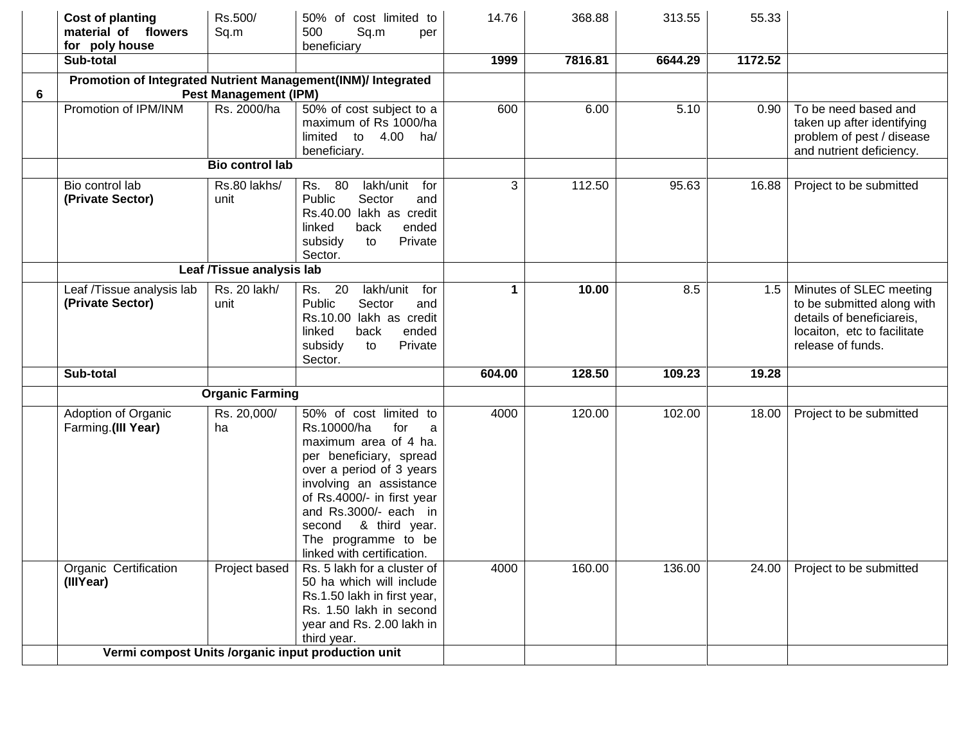|   | <b>Cost of planting</b><br>material of flowers<br>for poly house | Rs.500/<br>Sq.m              | 50% of cost limited to<br>500<br>Sq.m<br>per<br>beneficiary                                                                                                                                                                                                                                         | 14.76  | 368.88  | 313.55  | 55.33   |                                                                                                                                        |
|---|------------------------------------------------------------------|------------------------------|-----------------------------------------------------------------------------------------------------------------------------------------------------------------------------------------------------------------------------------------------------------------------------------------------------|--------|---------|---------|---------|----------------------------------------------------------------------------------------------------------------------------------------|
|   | Sub-total                                                        |                              |                                                                                                                                                                                                                                                                                                     | 1999   | 7816.81 | 6644.29 | 1172.52 |                                                                                                                                        |
| 6 |                                                                  | <b>Pest Management (IPM)</b> | Promotion of Integrated Nutrient Management(INM)/ Integrated                                                                                                                                                                                                                                        |        |         |         |         |                                                                                                                                        |
|   | Promotion of IPM/INM                                             | Rs. 2000/ha                  | 50% of cost subject to a<br>maximum of Rs 1000/ha<br>limited to 4.00 ha/<br>beneficiary.                                                                                                                                                                                                            | 600    | 6.00    | 5.10    | 0.90    | To be need based and<br>taken up after identifying<br>problem of pest / disease<br>and nutrient deficiency.                            |
|   |                                                                  | <b>Bio control lab</b>       |                                                                                                                                                                                                                                                                                                     |        |         |         |         |                                                                                                                                        |
|   | Bio control lab<br>(Private Sector)                              | Rs.80 lakhs/<br>unit         | Rs. 80<br>lakh/unit for<br>Public<br>Sector<br>and<br>Rs.40.00 lakh as credit<br>ended<br>linked<br>back<br>subsidy<br>Private<br>to<br>Sector.                                                                                                                                                     | 3      | 112.50  | 95.63   | 16.88   | Project to be submitted                                                                                                                |
|   | Leaf /Tissue analysis lab                                        |                              |                                                                                                                                                                                                                                                                                                     |        |         |         |         |                                                                                                                                        |
|   | Leaf /Tissue analysis lab<br>(Private Sector)                    | Rs. 20 lakh/<br>unit         | 20<br>lakh/unit for<br>Rs.<br>Public<br>Sector<br>and<br>Rs.10.00 lakh as credit<br>ended<br>linked<br>back<br>subsidy<br>to<br>Private<br>Sector.                                                                                                                                                  | 1      | 10.00   | 8.5     | 1.5     | Minutes of SLEC meeting<br>to be submitted along with<br>details of beneficiareis,<br>locaiton, etc to facilitate<br>release of funds. |
|   | Sub-total                                                        |                              |                                                                                                                                                                                                                                                                                                     | 604.00 | 128.50  | 109.23  | 19.28   |                                                                                                                                        |
|   |                                                                  | <b>Organic Farming</b>       |                                                                                                                                                                                                                                                                                                     |        |         |         |         |                                                                                                                                        |
|   | Adoption of Organic<br>Farming.(III Year)                        | Rs. 20,000/<br>ha            | 50% of cost limited to<br>Rs.10000/ha<br>for<br>a<br>maximum area of 4 ha.<br>per beneficiary, spread<br>over a period of 3 years<br>involving an assistance<br>of Rs.4000/- in first year<br>and Rs.3000/- each in<br>& third year.<br>second<br>The programme to be<br>linked with certification. | 4000   | 120.00  | 102.00  | 18.00   | Project to be submitted                                                                                                                |
|   | Organic Certification<br>(IIIYear)                               | Project based                | Rs. 5 lakh for a cluster of<br>50 ha which will include<br>Rs.1.50 lakh in first year,<br>Rs. 1.50 lakh in second<br>year and Rs. 2.00 lakh in<br>third year.                                                                                                                                       | 4000   | 160.00  | 136.00  | 24.00   | Project to be submitted                                                                                                                |
|   |                                                                  |                              | Vermi compost Units /organic input production unit                                                                                                                                                                                                                                                  |        |         |         |         |                                                                                                                                        |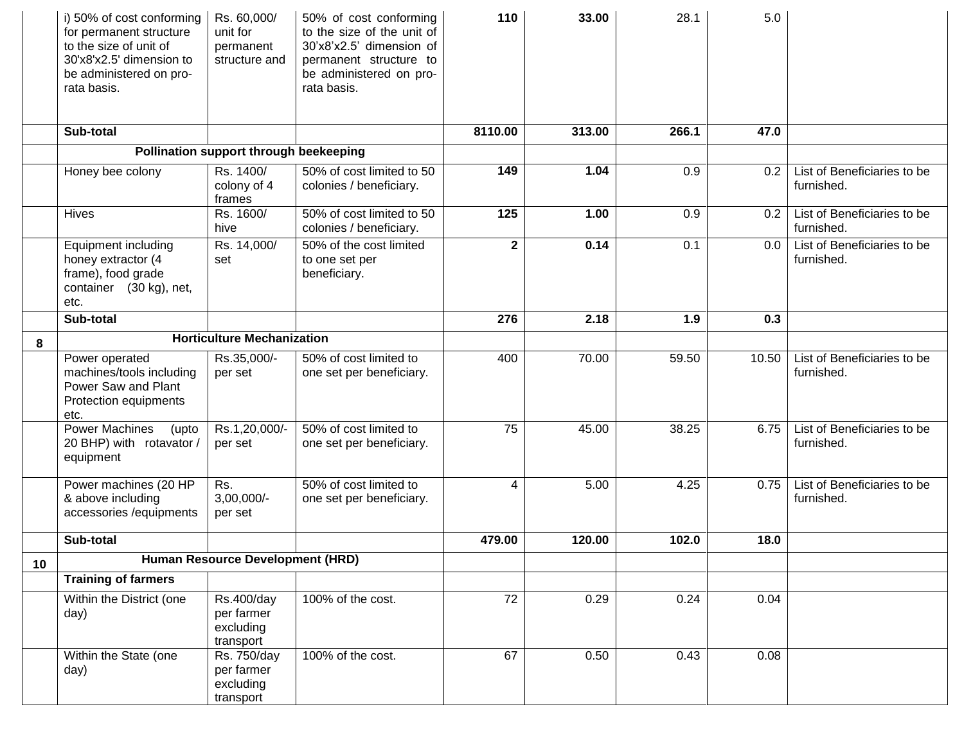|    | i) 50% of cost conforming<br>for permanent structure<br>to the size of unit of<br>30'x8'x2.5' dimension to<br>be administered on pro-<br>rata basis. | Rs. 60,000/<br>unit for<br>permanent<br>structure and | 50% of cost conforming<br>to the size of the unit of<br>30'x8'x2.5' dimension of<br>permanent structure to<br>be administered on pro-<br>rata basis. | 110             | 33.00  | 28.1  | 5.0   |                                           |
|----|------------------------------------------------------------------------------------------------------------------------------------------------------|-------------------------------------------------------|------------------------------------------------------------------------------------------------------------------------------------------------------|-----------------|--------|-------|-------|-------------------------------------------|
|    | Sub-total                                                                                                                                            |                                                       |                                                                                                                                                      | 8110.00         | 313.00 | 266.1 | 47.0  |                                           |
|    |                                                                                                                                                      | Pollination support through beekeeping                |                                                                                                                                                      |                 |        |       |       |                                           |
|    | Honey bee colony                                                                                                                                     | Rs. 1400/<br>colony of 4<br>frames                    | 50% of cost limited to 50<br>colonies / beneficiary.                                                                                                 | 149             | 1.04   | 0.9   | 0.2   | List of Beneficiaries to be<br>furnished. |
|    | <b>Hives</b>                                                                                                                                         | Rs. 1600/<br>hive                                     | 50% of cost limited to 50<br>colonies / beneficiary.                                                                                                 | 125             | 1.00   | 0.9   | 0.2   | List of Beneficiaries to be<br>furnished. |
|    | <b>Equipment including</b><br>honey extractor (4<br>frame), food grade<br>container (30 kg), net,<br>etc.                                            | Rs. 14,000/<br>set                                    | 50% of the cost limited<br>to one set per<br>beneficiary.                                                                                            | $\mathbf{2}$    | 0.14   | 0.1   | 0.0   | List of Beneficiaries to be<br>furnished. |
|    | Sub-total                                                                                                                                            |                                                       |                                                                                                                                                      | 276             | 2.18   | 1.9   | 0.3   |                                           |
| 8  |                                                                                                                                                      | <b>Horticulture Mechanization</b>                     |                                                                                                                                                      |                 |        |       |       |                                           |
|    | Power operated<br>machines/tools including<br>Power Saw and Plant<br>Protection equipments<br>etc.                                                   | Rs.35,000/-<br>per set                                | 50% of cost limited to<br>one set per beneficiary.                                                                                                   | 400             | 70.00  | 59.50 | 10.50 | List of Beneficiaries to be<br>furnished. |
|    | <b>Power Machines</b><br>(upto<br>20 BHP) with rotavator /<br>equipment                                                                              | Rs.1,20,000/-<br>per set                              | 50% of cost limited to<br>one set per beneficiary.                                                                                                   | 75              | 45.00  | 38.25 | 6.75  | List of Beneficiaries to be<br>furnished. |
|    | Power machines (20 HP<br>& above including<br>accessories /equipments                                                                                | Rs.<br>$3,00,000/-$<br>per set                        | 50% of cost limited to<br>one set per beneficiary.                                                                                                   | 4               | 5.00   | 4.25  | 0.75  | List of Beneficiaries to be<br>furnished. |
|    | Sub-total                                                                                                                                            |                                                       |                                                                                                                                                      | 479.00          | 120.00 | 102.0 | 18.0  |                                           |
| 10 |                                                                                                                                                      | Human Resource Development (HRD)                      |                                                                                                                                                      |                 |        |       |       |                                           |
|    | <b>Training of farmers</b>                                                                                                                           |                                                       |                                                                                                                                                      |                 |        |       |       |                                           |
|    | Within the District (one<br>day)                                                                                                                     | Rs.400/day<br>per farmer<br>excluding<br>transport    | 100% of the cost.                                                                                                                                    | $\overline{72}$ | 0.29   | 0.24  | 0.04  |                                           |
|    | Within the State (one<br>day)                                                                                                                        | Rs. 750/day<br>per farmer<br>excluding<br>transport   | 100% of the cost.                                                                                                                                    | 67              | 0.50   | 0.43  | 0.08  |                                           |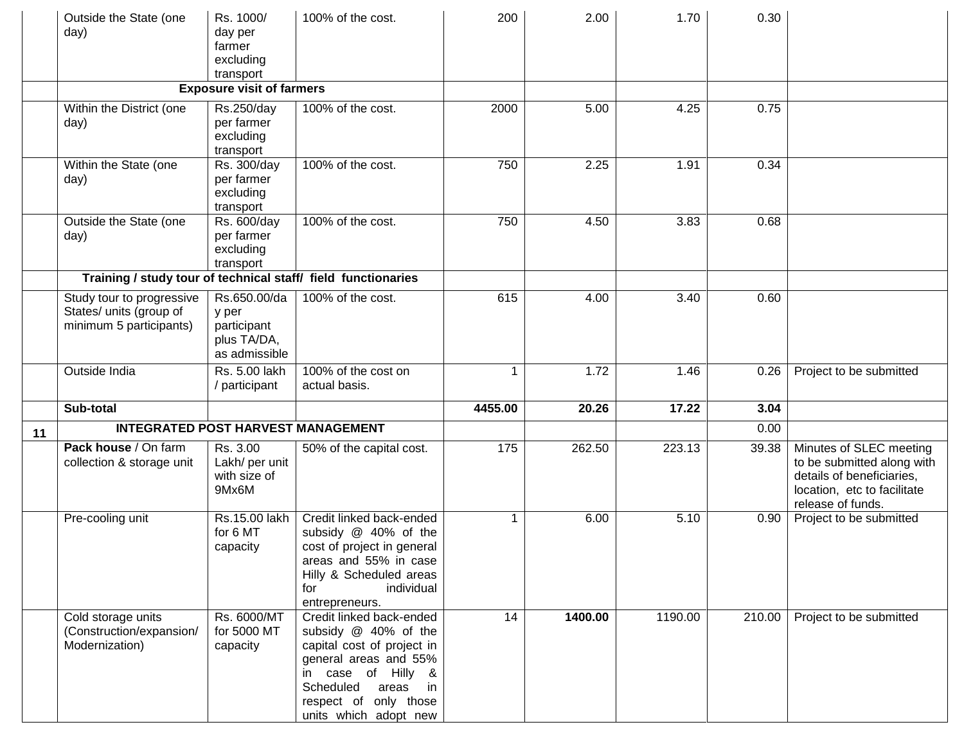|    | Outside the State (one<br>day)                                                  | Rs. 1000/<br>day per<br>farmer<br>excluding<br>transport             | 100% of the cost.                                                                                                                                                                                              | 200         | 2.00    | 1.70    | 0.30   |                                                                                                                                        |
|----|---------------------------------------------------------------------------------|----------------------------------------------------------------------|----------------------------------------------------------------------------------------------------------------------------------------------------------------------------------------------------------------|-------------|---------|---------|--------|----------------------------------------------------------------------------------------------------------------------------------------|
|    |                                                                                 | <b>Exposure visit of farmers</b>                                     |                                                                                                                                                                                                                |             |         |         |        |                                                                                                                                        |
|    | Within the District (one<br>day)                                                | Rs.250/day<br>per farmer<br>excluding<br>transport                   | 100% of the cost.                                                                                                                                                                                              | 2000        | 5.00    | 4.25    | 0.75   |                                                                                                                                        |
|    | Within the State (one<br>day)                                                   | Rs. 300/day<br>per farmer<br>excluding<br>transport                  | 100% of the cost.                                                                                                                                                                                              | 750         | 2.25    | 1.91    | 0.34   |                                                                                                                                        |
|    | Outside the State (one<br>day)                                                  | Rs. 600/day<br>per farmer<br>excluding<br>transport                  | 100% of the cost.                                                                                                                                                                                              | 750         | 4.50    | 3.83    | 0.68   |                                                                                                                                        |
|    | Training / study tour of technical staff/ field functionaries                   |                                                                      |                                                                                                                                                                                                                |             |         |         |        |                                                                                                                                        |
|    | Study tour to progressive<br>States/ units (group of<br>minimum 5 participants) | Rs.650.00/da<br>y per<br>participant<br>plus TA/DA,<br>as admissible | 100% of the cost.                                                                                                                                                                                              | 615         | 4.00    | 3.40    | 0.60   |                                                                                                                                        |
|    | Outside India                                                                   | Rs. 5.00 lakh<br>/ participant                                       | 100% of the cost on<br>actual basis.                                                                                                                                                                           | 1           | 1.72    | 1.46    | 0.26   | Project to be submitted                                                                                                                |
|    | Sub-total                                                                       |                                                                      |                                                                                                                                                                                                                | 4455.00     | 20.26   | 17.22   | 3.04   |                                                                                                                                        |
| 11 | <b>INTEGRATED POST HARVEST MANAGEMENT</b>                                       |                                                                      |                                                                                                                                                                                                                |             |         |         | 0.00   |                                                                                                                                        |
|    | Pack house / On farm<br>collection & storage unit                               | Rs. 3.00<br>Lakh/ per unit<br>with size of<br>9Mx6M                  | 50% of the capital cost.                                                                                                                                                                                       | 175         | 262.50  | 223.13  | 39.38  | Minutes of SLEC meeting<br>to be submitted along with<br>details of beneficiaries,<br>location, etc to facilitate<br>release of funds. |
|    | Pre-cooling unit                                                                | Rs.15.00 lakh<br>for 6 MT<br>capacity                                | Credit linked back-ended<br>subsidy @ 40% of the<br>cost of project in general<br>areas and 55% in case<br>Hilly & Scheduled areas<br>individual<br>for<br>entrepreneurs.                                      | $\mathbf 1$ | 6.00    | 5.10    | 0.90   | Project to be submitted                                                                                                                |
|    | Cold storage units<br>(Construction/expansion/<br>Modernization)                | Rs. 6000/MT<br>for 5000 MT<br>capacity                               | Credit linked back-ended<br>subsidy @ 40% of the<br>capital cost of project in<br>general areas and 55%<br>in case of Hilly &<br>Scheduled<br>areas<br>in in<br>respect of only those<br>units which adopt new | 14          | 1400.00 | 1190.00 | 210.00 | Project to be submitted                                                                                                                |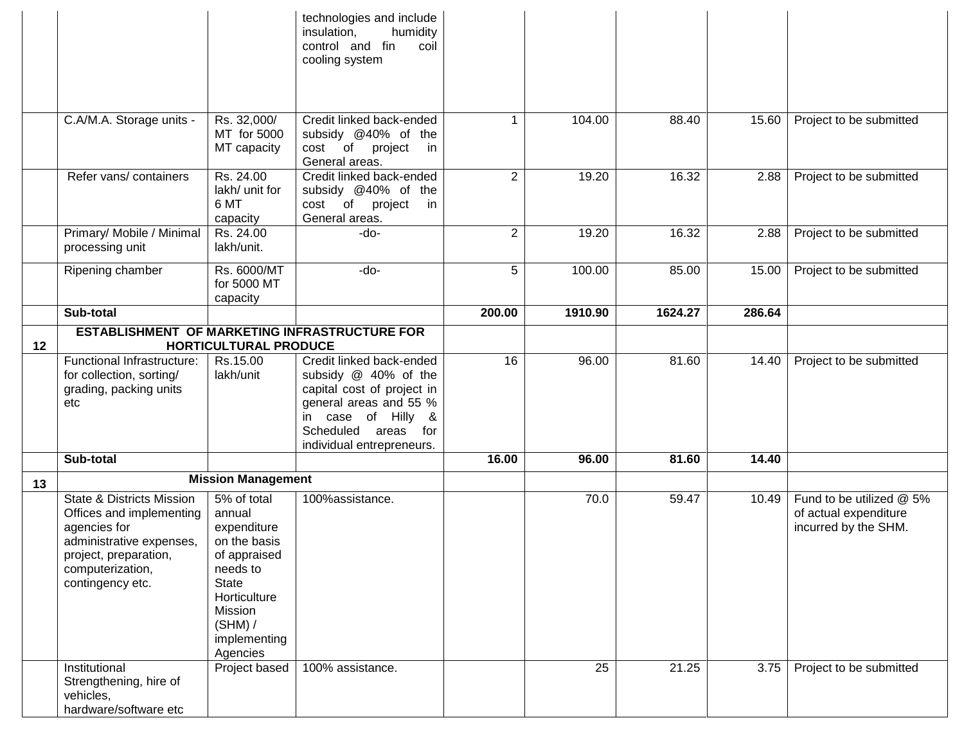|    |                                                                                                                                                                               |                                                                                                                                                                      | technologies and include<br>humidity<br>insulation,<br>control and fin<br>coil<br>cooling system                                                                                   |                |                 |         |        |                                                                           |
|----|-------------------------------------------------------------------------------------------------------------------------------------------------------------------------------|----------------------------------------------------------------------------------------------------------------------------------------------------------------------|------------------------------------------------------------------------------------------------------------------------------------------------------------------------------------|----------------|-----------------|---------|--------|---------------------------------------------------------------------------|
|    | C.A/M.A. Storage units -                                                                                                                                                      | Rs. 32,000/<br>MT for 5000<br>MT capacity                                                                                                                            | Credit linked back-ended<br>subsidy @40% of the<br>cost of project<br>in<br>General areas.                                                                                         | 1              | 104.00          | 88.40   | 15.60  | Project to be submitted                                                   |
|    | Refer vans/containers                                                                                                                                                         | Rs. 24.00<br>lakh/ unit for<br>6 MT<br>capacity                                                                                                                      | Credit linked back-ended<br>subsidy @40% of the<br>cost of project<br>in<br>General areas.                                                                                         | 2              | 19.20           | 16.32   | 2.88   | Project to be submitted                                                   |
|    | Primary/ Mobile / Minimal<br>processing unit                                                                                                                                  | Rs. 24.00<br>lakh/unit.                                                                                                                                              | $-do-$                                                                                                                                                                             | $\overline{2}$ | 19.20           | 16.32   | 2.88   | Project to be submitted                                                   |
|    | Ripening chamber                                                                                                                                                              | Rs. 6000/MT<br>for 5000 MT<br>capacity                                                                                                                               | -do-                                                                                                                                                                               | 5              | 100.00          | 85.00   | 15.00  | Project to be submitted                                                   |
|    | Sub-total                                                                                                                                                                     |                                                                                                                                                                      |                                                                                                                                                                                    | 200.00         | 1910.90         | 1624.27 | 286.64 |                                                                           |
|    | ESTABLISHMENT OF MARKETING INFRASTRUCTURE FOR                                                                                                                                 |                                                                                                                                                                      |                                                                                                                                                                                    |                |                 |         |        |                                                                           |
| 12 | Functional Infrastructure:<br>for collection, sorting/<br>grading, packing units<br>etc                                                                                       | <b>HORTICULTURAL PRODUCE</b><br>Rs.15.00<br>lakh/unit                                                                                                                | Credit linked back-ended<br>subsidy @ 40% of the<br>capital cost of project in<br>general areas and 55 %<br>in case of Hilly &<br>Scheduled areas for<br>individual entrepreneurs. | 16             | 96.00           | 81.60   | 14.40  | Project to be submitted                                                   |
|    | Sub-total                                                                                                                                                                     |                                                                                                                                                                      |                                                                                                                                                                                    | 16.00          | 96.00           | 81.60   | 14.40  |                                                                           |
| 13 |                                                                                                                                                                               | <b>Mission Management</b>                                                                                                                                            |                                                                                                                                                                                    |                |                 |         |        |                                                                           |
|    | <b>State &amp; Districts Mission</b><br>Offices and implementing<br>agencies for<br>administrative expenses,<br>project, preparation,<br>computerization,<br>contingency etc. | 5% of total<br>annual<br>expenditure<br>on the basis<br>of appraised<br>needs to<br><b>State</b><br>Horticulture<br>Mission<br>$(SHM)$ /<br>implementing<br>Agencies | 100%assistance.                                                                                                                                                                    |                | 70.0            | 59.47   | 10.49  | Fund to be utilized @ 5%<br>of actual expenditure<br>incurred by the SHM. |
|    | Institutional<br>Strengthening, hire of<br>vehicles,<br>hardware/software etc                                                                                                 | Project based                                                                                                                                                        | 100% assistance.                                                                                                                                                                   |                | $\overline{25}$ | 21.25   | 3.75   | Project to be submitted                                                   |